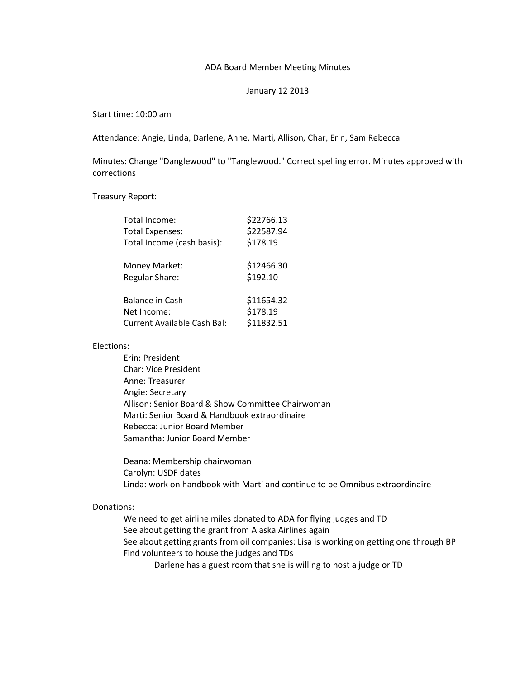## ADA Board Member Meeting Minutes

### January 12 2013

Start time: 10:00 am

Attendance: Angie, Linda, Darlene, Anne, Marti, Allison, Char, Erin, Sam Rebecca

Minutes: Change "Danglewood" to "Tanglewood." Correct spelling error. Minutes approved with corrections

Treasury Report:

| Total Income:                                                        | \$22766.13                           |
|----------------------------------------------------------------------|--------------------------------------|
| <b>Total Expenses:</b>                                               | \$22587.94                           |
| Total Income (cash basis):                                           | \$178.19                             |
| Money Market:<br><b>Regular Share:</b>                               | \$12466.30<br>\$192.10               |
| <b>Balance in Cash</b><br>Net Income:<br>Current Available Cash Bal: | \$11654.32<br>\$178.19<br>\$11832.51 |

## Elections:

Erin: President Char: Vice President Anne: Treasurer Angie: Secretary Allison: Senior Board & Show Committee Chairwoman Marti: Senior Board & Handbook extraordinaire Rebecca: Junior Board Member Samantha: Junior Board Member

Deana: Membership chairwoman Carolyn: USDF dates Linda: work on handbook with Marti and continue to be Omnibus extraordinaire

# Donations:

We need to get airline miles donated to ADA for flying judges and TD See about getting the grant from Alaska Airlines again See about getting grants from oil companies: Lisa is working on getting one through BP Find volunteers to house the judges and TDs Darlene has a guest room that she is willing to host a judge or TD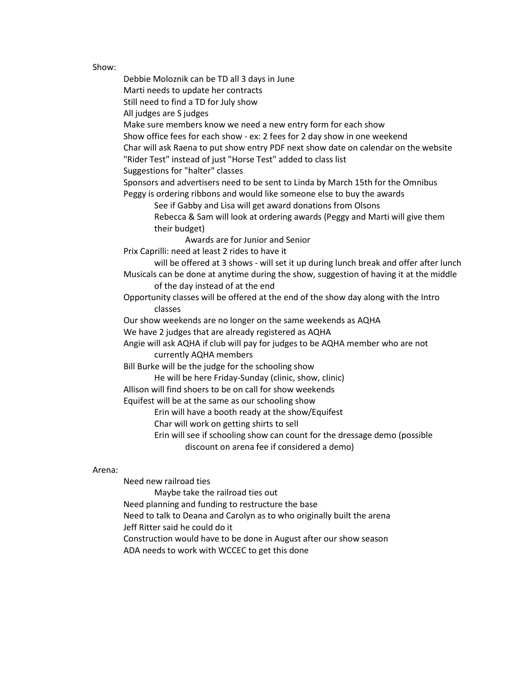### Show:

Debbie Moloznik can be TD all 3 days in June Marti needs to update her contracts Still need to find a TD for July show All judges are S judges Make sure members know we need a new entry form for each show Show office fees for each show - ex: 2 fees for 2 day show in one weekend Char will ask Raena to put show entry PDF next show date on calendar on the website "Rider Test" instead of just "Horse Test" added to class list Suggestions for "halter" classes Sponsors and advertisers need to be sent to Linda by March 15th for the Omnibus Peggy is ordering ribbons and would like someone else to buy the awards See if Gabby and Lisa will get award donations from Olsons Rebecca & Sam will look at ordering awards (Peggy and Marti will give them their budget) Awards are for Junior and Senior Prix Caprilli: need at least 2 rides to have it will be offered at 3 shows - will set it up during lunch break and offer after lunch Musicals can be done at anytime during the show, suggestion of having it at the middle of the day instead of at the end Opportunity classes will be offered at the end of the show day along with the Intro classes Our show weekends are no longer on the same weekends as AQHA We have 2 judges that are already registered as AQHA Angie will ask AQHA if club will pay for judges to be AQHA member who are not currently AQHA members Bill Burke will be the judge for the schooling show He will be here Friday-Sunday (clinic, show, clinic) Allison will find shoers to be on call for show weekends Equifest will be at the same as our schooling show Erin will have a booth ready at the show/Equifest Char will work on getting shirts to sell Erin will see if schooling show can count for the dressage demo (possible discount on arena fee if considered a demo)

#### Arena:

Need new railroad ties

Maybe take the railroad ties out

Need planning and funding to restructure the base

Need to talk to Deana and Carolyn as to who originally built the arena

Jeff Ritter said he could do it

Construction would have to be done in August after our show season

ADA needs to work with WCCEC to get this done